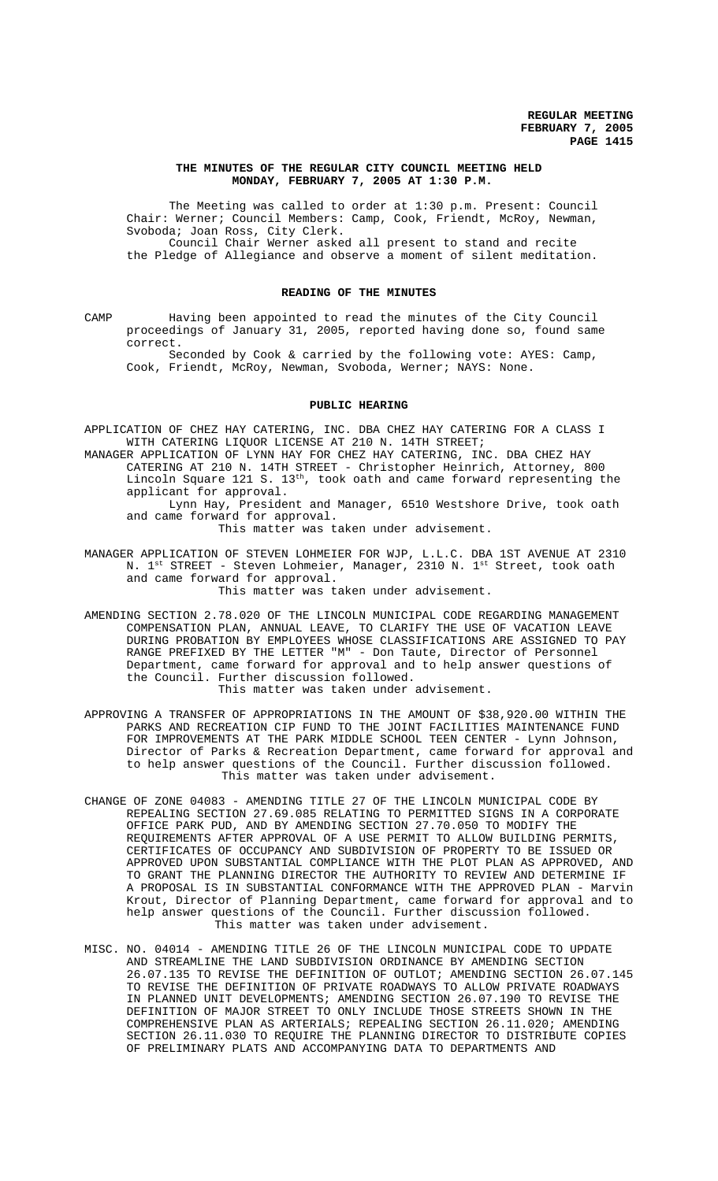## **THE MINUTES OF THE REGULAR CITY COUNCIL MEETING HELD MONDAY, FEBRUARY 7, 2005 AT 1:30 P.M.**

The Meeting was called to order at 1:30 p.m. Present: Council Chair: Werner; Council Members: Camp, Cook, Friendt, McRoy, Newman, Svoboda; Joan Ross, City Clerk. Council Chair Werner asked all present to stand and recite

the Pledge of Allegiance and observe a moment of silent meditation.

## **READING OF THE MINUTES**

CAMP Having been appointed to read the minutes of the City Council proceedings of January 31, 2005, reported having done so, found same correct.

Seconded by Cook & carried by the following vote: AYES: Camp, Cook, Friendt, McRoy, Newman, Svoboda, Werner; NAYS: None.

## **PUBLIC HEARING**

APPLICATION OF CHEZ HAY CATERING, INC. DBA CHEZ HAY CATERING FOR A CLASS I WITH CATERING LIQUOR LICENSE AT 210 N. 14TH STREET;

MANAGER APPLICATION OF LYNN HAY FOR CHEZ HAY CATERING, INC. DBA CHEZ HAY CATERING AT 210 N. 14TH STREET - Christopher Heinrich, Attorney, 800 Lincoln Square 121 S. 13<sup>th</sup>, took oath and came forward representing the applicant for approval.

Lynn Hay, President and Manager, 6510 Westshore Drive, took oath and came forward for approval.

This matter was taken under advisement.

MANAGER APPLICATION OF STEVEN LOHMEIER FOR WJP, L.L.C. DBA 1ST AVENUE AT 2310 N. 1<sup>st</sup> STREET - Steven Lohmeier, Manager, 2310 N. 1<sup>st</sup> Street, took oath and came forward for approval.

This matter was taken under advisement.

- AMENDING SECTION 2.78.020 OF THE LINCOLN MUNICIPAL CODE REGARDING MANAGEMENT COMPENSATION PLAN, ANNUAL LEAVE, TO CLARIFY THE USE OF VACATION LEAVE DURING PROBATION BY EMPLOYEES WHOSE CLASSIFICATIONS ARE ASSIGNED TO PAY RANGE PREFIXED BY THE LETTER "M" - Don Taute, Director of Personnel Department, came forward for approval and to help answer questions of the Council. Further discussion followed. This matter was taken under advisement.
- APPROVING A TRANSFER OF APPROPRIATIONS IN THE AMOUNT OF \$38,920.00 WITHIN THE PARKS AND RECREATION CIP FUND TO THE JOINT FACILITIES MAINTENANCE FUND FOR IMPROVEMENTS AT THE PARK MIDDLE SCHOOL TEEN CENTER - Lynn Johnson, Director of Parks & Recreation Department, came forward for approval and to help answer questions of the Council. Further discussion followed. This matter was taken under advisement.
- CHANGE OF ZONE 04083 AMENDING TITLE 27 OF THE LINCOLN MUNICIPAL CODE BY REPEALING SECTION 27.69.085 RELATING TO PERMITTED SIGNS IN A CORPORATE OFFICE PARK PUD, AND BY AMENDING SECTION 27.70.050 TO MODIFY THE REQUIREMENTS AFTER APPROVAL OF A USE PERMIT TO ALLOW BUILDING PERMITS, CERTIFICATES OF OCCUPANCY AND SUBDIVISION OF PROPERTY TO BE ISSUED OR APPROVED UPON SUBSTANTIAL COMPLIANCE WITH THE PLOT PLAN AS APPROVED, AND TO GRANT THE PLANNING DIRECTOR THE AUTHORITY TO REVIEW AND DETERMINE IF A PROPOSAL IS IN SUBSTANTIAL CONFORMANCE WITH THE APPROVED PLAN - Marvin Krout, Director of Planning Department, came forward for approval and to help answer questions of the Council. Further discussion followed. This matter was taken under advisement.
- MISC. NO. 04014 AMENDING TITLE 26 OF THE LINCOLN MUNICIPAL CODE TO UPDATE AND STREAMLINE THE LAND SUBDIVISION ORDINANCE BY AMENDING SECTION 26.07.135 TO REVISE THE DEFINITION OF OUTLOT; AMENDING SECTION 26.07.145 TO REVISE THE DEFINITION OF PRIVATE ROADWAYS TO ALLOW PRIVATE ROADWAYS IN PLANNED UNIT DEVELOPMENTS; AMENDING SECTION 26.07.190 TO REVISE THE DEFINITION OF MAJOR STREET TO ONLY INCLUDE THOSE STREETS SHOWN IN THE COMPREHENSIVE PLAN AS ARTERIALS; REPEALING SECTION 26.11.020; AMENDING SECTION 26.11.030 TO REQUIRE THE PLANNING DIRECTOR TO DISTRIBUTE COPIES OF PRELIMINARY PLATS AND ACCOMPANYING DATA TO DEPARTMENTS AND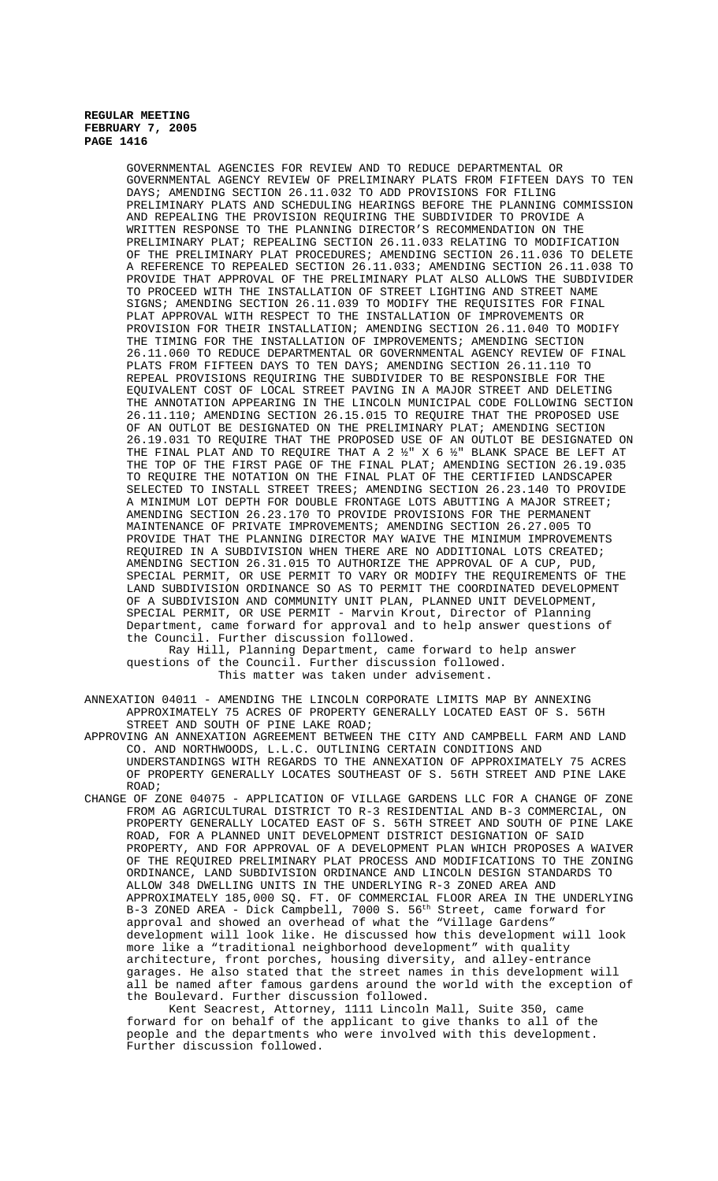> GOVERNMENTAL AGENCIES FOR REVIEW AND TO REDUCE DEPARTMENTAL OR GOVERNMENTAL AGENCY REVIEW OF PRELIMINARY PLATS FROM FIFTEEN DAYS TO TEN DAYS; AMENDING SECTION 26.11.032 TO ADD PROVISIONS FOR FILING PRELIMINARY PLATS AND SCHEDULING HEARINGS BEFORE THE PLANNING COMMISSION AND REPEALING THE PROVISION REQUIRING THE SUBDIVIDER TO PROVIDE A WRITTEN RESPONSE TO THE PLANNING DIRECTOR'S RECOMMENDATION ON THE PRELIMINARY PLAT; REPEALING SECTION 26.11.033 RELATING TO MODIFICATION OF THE PRELIMINARY PLAT PROCEDURES; AMENDING SECTION 26.11.036 TO DELETE A REFERENCE TO REPEALED SECTION 26.11.033; AMENDING SECTION 26.11.038 TO PROVIDE THAT APPROVAL OF THE PRELIMINARY PLAT ALSO ALLOWS THE SUBDIVIDER TO PROCEED WITH THE INSTALLATION OF STREET LIGHTING AND STREET NAME SIGNS; AMENDING SECTION 26.11.039 TO MODIFY THE REQUISITES FOR FINAL PLAT APPROVAL WITH RESPECT TO THE INSTALLATION OF IMPROVEMENTS OR PROVISION FOR THEIR INSTALLATION; AMENDING SECTION 26.11.040 TO MODIFY THE TIMING FOR THE INSTALLATION OF IMPROVEMENTS; AMENDING SECTION 26.11.060 TO REDUCE DEPARTMENTAL OR GOVERNMENTAL AGENCY REVIEW OF FINAL PLATS FROM FIFTEEN DAYS TO TEN DAYS; AMENDING SECTION 26.11.110 TO REPEAL PROVISIONS REQUIRING THE SUBDIVIDER TO BE RESPONSIBLE FOR THE EQUIVALENT COST OF LOCAL STREET PAVING IN A MAJOR STREET AND DELETING THE ANNOTATION APPEARING IN THE LINCOLN MUNICIPAL CODE FOLLOWING SECTION 26.11.110; AMENDING SECTION 26.15.015 TO REQUIRE THAT THE PROPOSED USE OF AN OUTLOT BE DESIGNATED ON THE PRELIMINARY PLAT; AMENDING SECTION 26.19.031 TO REQUIRE THAT THE PROPOSED USE OF AN OUTLOT BE DESIGNATED ON THE FINAL PLAT AND TO REQUIRE THAT A 2 ½" X 6 ½" BLANK SPACE BE LEFT AT THE TOP OF THE FIRST PAGE OF THE FINAL PLAT; AMENDING SECTION 26.19.035 TO REQUIRE THE NOTATION ON THE FINAL PLAT OF THE CERTIFIED LANDSCAPER SELECTED TO INSTALL STREET TREES; AMENDING SECTION 26.23.140 TO PROVIDE A MINIMUM LOT DEPTH FOR DOUBLE FRONTAGE LOTS ABUTTING A MAJOR STREET; AMENDING SECTION 26.23.170 TO PROVIDE PROVISIONS FOR THE PERMANENT MAINTENANCE OF PRIVATE IMPROVEMENTS; AMENDING SECTION 26.27.005 TO PROVIDE THAT THE PLANNING DIRECTOR MAY WAIVE THE MINIMUM IMPROVEMENTS REQUIRED IN A SUBDIVISION WHEN THERE ARE NO ADDITIONAL LOTS CREATED; AMENDING SECTION 26.31.015 TO AUTHORIZE THE APPROVAL OF A CUP, PUD, SPECIAL PERMIT, OR USE PERMIT TO VARY OR MODIFY THE REQUIREMENTS OF THE LAND SUBDIVISION ORDINANCE SO AS TO PERMIT THE COORDINATED DEVELOPMENT OF A SUBDIVISION AND COMMUNITY UNIT PLAN, PLANNED UNIT DEVELOPMENT, SPECIAL PERMIT, OR USE PERMIT - Marvin Krout, Director of Planning Department, came forward for approval and to help answer questions of the Council. Further discussion followed.

Ray Hill, Planning Department, came forward to help answer questions of the Council. Further discussion followed. This matter was taken under advisement.

ANNEXATION 04011 - AMENDING THE LINCOLN CORPORATE LIMITS MAP BY ANNEXING APPROXIMATELY 75 ACRES OF PROPERTY GENERALLY LOCATED EAST OF S. 56TH STREET AND SOUTH OF PINE LAKE ROAD;

APPROVING AN ANNEXATION AGREEMENT BETWEEN THE CITY AND CAMPBELL FARM AND LAND CO. AND NORTHWOODS, L.L.C. OUTLINING CERTAIN CONDITIONS AND UNDERSTANDINGS WITH REGARDS TO THE ANNEXATION OF APPROXIMATELY 75 ACRES OF PROPERTY GENERALLY LOCATES SOUTHEAST OF S. 56TH STREET AND PINE LAKE ROAD;

CHANGE OF ZONE 04075 - APPLICATION OF VILLAGE GARDENS LLC FOR A CHANGE OF ZONE FROM AG AGRICULTURAL DISTRICT TO R-3 RESIDENTIAL AND B-3 COMMERCIAL, ON PROPERTY GENERALLY LOCATED EAST OF S. 56TH STREET AND SOUTH OF PINE LAKE ROAD, FOR A PLANNED UNIT DEVELOPMENT DISTRICT DESIGNATION OF SAID PROPERTY, AND FOR APPROVAL OF A DEVELOPMENT PLAN WHICH PROPOSES A WAIVER OF THE REQUIRED PRELIMINARY PLAT PROCESS AND MODIFICATIONS TO THE ZONING ORDINANCE, LAND SUBDIVISION ORDINANCE AND LINCOLN DESIGN STANDARDS TO ALLOW 348 DWELLING UNITS IN THE UNDERLYING R-3 ZONED AREA AND APPROXIMATELY 185,000 SQ. FT. OF COMMERCIAL FLOOR AREA IN THE UNDERLYING B-3 ZONED AREA - Dick Campbell, 7000 S. 56<sup>th</sup> Street, came forward for approval and showed an overhead of what the "Village Gardens" development will look like. He discussed how this development will look more like a "traditional neighborhood development" with quality architecture, front porches, housing diversity, and alley-entrance garages. He also stated that the street names in this development will all be named after famous gardens around the world with the exception of the Boulevard. Further discussion followed.

Kent Seacrest, Attorney, 1111 Lincoln Mall, Suite 350, came forward for on behalf of the applicant to give thanks to all of the people and the departments who were involved with this development. Further discussion followed.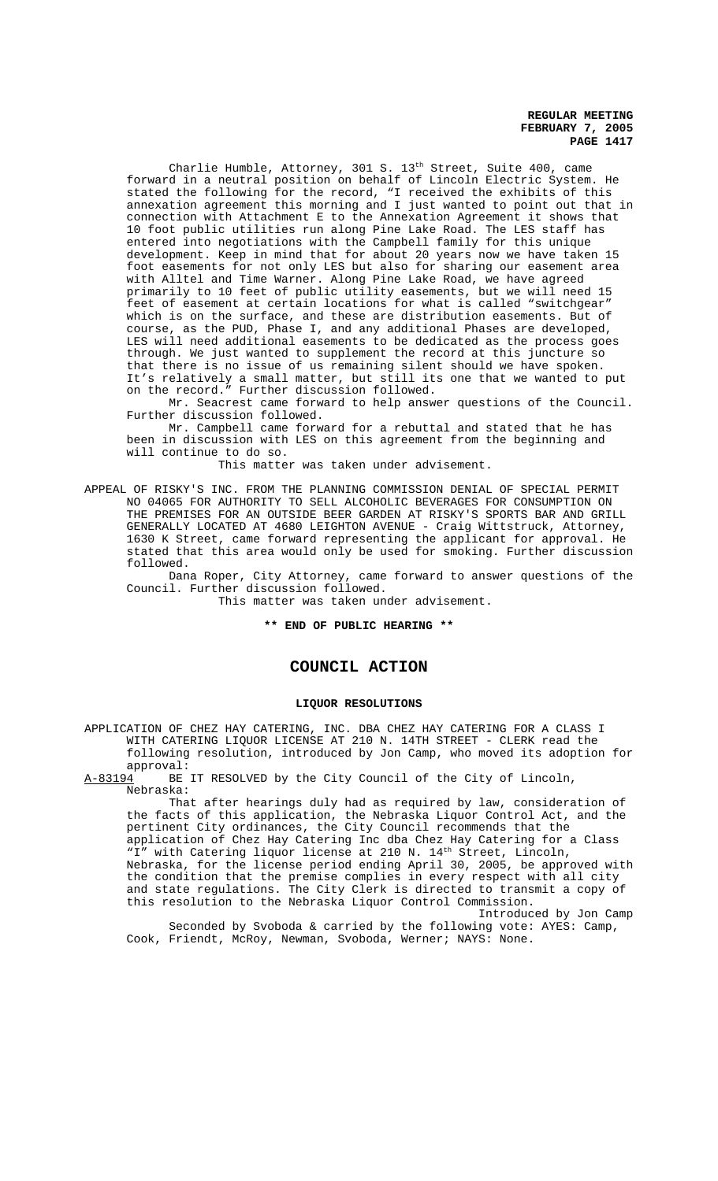Charlie Humble, Attorney, 301 S. 13<sup>th</sup> Street, Suite 400, came forward in a neutral position on behalf of Lincoln Electric System. He stated the following for the record, "I received the exhibits of this annexation agreement this morning and I just wanted to point out that in connection with Attachment E to the Annexation Agreement it shows that 10 foot public utilities run along Pine Lake Road. The LES staff has entered into negotiations with the Campbell family for this unique development. Keep in mind that for about 20 years now we have taken 15 foot easements for not only LES but also for sharing our easement area with Alltel and Time Warner. Along Pine Lake Road, we have agreed primarily to 10 feet of public utility easements, but we will need 15 feet of easement at certain locations for what is called "switchgear" which is on the surface, and these are distribution easements. But of course, as the PUD, Phase I, and any additional Phases are developed, LES will need additional easements to be dedicated as the process goes through. We just wanted to supplement the record at this juncture so that there is no issue of us remaining silent should we have spoken. It's relatively a small matter, but still its one that we wanted to put on the record." Further discussion followed.

Mr. Seacrest came forward to help answer questions of the Council. Further discussion followed.

Mr. Campbell came forward for a rebuttal and stated that he has been in discussion with LES on this agreement from the beginning and will continue to do so.

This matter was taken under advisement.

APPEAL OF RISKY'S INC. FROM THE PLANNING COMMISSION DENIAL OF SPECIAL PERMIT NO 04065 FOR AUTHORITY TO SELL ALCOHOLIC BEVERAGES FOR CONSUMPTION ON THE PREMISES FOR AN OUTSIDE BEER GARDEN AT RISKY'S SPORTS BAR AND GRILL GENERALLY LOCATED AT 4680 LEIGHTON AVENUE - Craig Wittstruck, Attorney, 1630 K Street, came forward representing the applicant for approval. He stated that this area would only be used for smoking. Further discussion followed.

Dana Roper, City Attorney, came forward to answer questions of the Council. Further discussion followed.

This matter was taken under advisement.

## **\*\* END OF PUBLIC HEARING \*\***

# **COUNCIL ACTION**

#### **LIQUOR RESOLUTIONS**

APPLICATION OF CHEZ HAY CATERING, INC. DBA CHEZ HAY CATERING FOR A CLASS I WITH CATERING LIQUOR LICENSE AT 210 N. 14TH STREET - CLERK read the following resolution, introduced by Jon Camp, who moved its adoption for approval:

A-83194 BE IT RESOLVED by the City Council of the City of Lincoln, Nebraska:

That after hearings duly had as required by law, consideration of the facts of this application, the Nebraska Liquor Control Act, and the pertinent City ordinances, the City Council recommends that the application of Chez Hay Catering Inc dba Chez Hay Catering for a Class "I" with Catering liquor license at 210 N. 14<sup>th</sup> Street, Lincoln, Nebraska, for the license period ending April 30, 2005, be approved with the condition that the premise complies in every respect with all city and state regulations. The City Clerk is directed to transmit a copy of this resolution to the Nebraska Liquor Control Commission.

Introduced by Jon Camp Seconded by Svoboda & carried by the following vote: AYES: Camp, Cook, Friendt, McRoy, Newman, Svoboda, Werner; NAYS: None.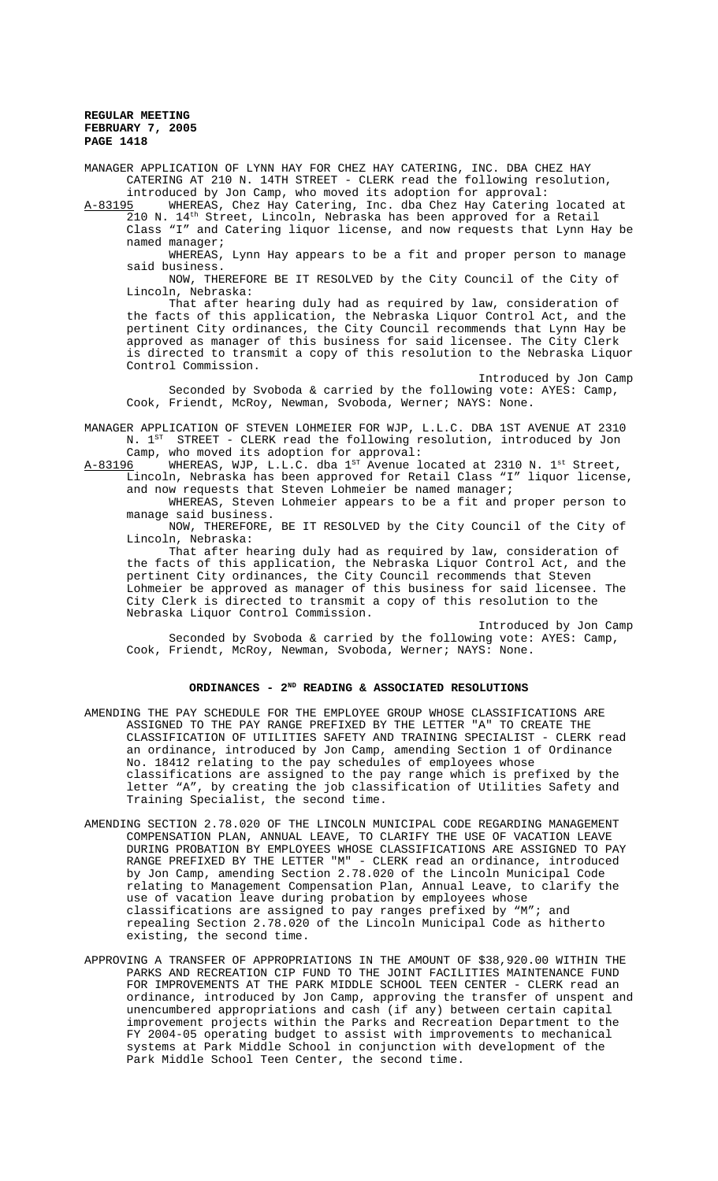MANAGER APPLICATION OF LYNN HAY FOR CHEZ HAY CATERING, INC. DBA CHEZ HAY CATERING AT 210 N. 14TH STREET - CLERK read the following resolution, introduced by Jon Camp, who moved its adoption for approval:<br>A-83195 WHEREAS, Chez Hay Catering, Inc. dba Chez Hay Catering

WHEREAS, Chez Hay Catering, Inc. dba Chez Hay Catering located at 210 N. 14th Street, Lincoln, Nebraska has been approved for a Retail Class "I" and Catering liquor license, and now requests that Lynn Hay be named manager;

WHEREAS, Lynn Hay appears to be a fit and proper person to manage said business.

NOW, THEREFORE BE IT RESOLVED by the City Council of the City of Lincoln, Nebraska:

That after hearing duly had as required by law, consideration of the facts of this application, the Nebraska Liquor Control Act, and the pertinent City ordinances, the City Council recommends that Lynn Hay be approved as manager of this business for said licensee. The City Clerk is directed to transmit a copy of this resolution to the Nebraska Liquor Control Commission.

Introduced by Jon Camp Seconded by Svoboda & carried by the following vote: AYES: Camp, Cook, Friendt, McRoy, Newman, Svoboda, Werner; NAYS: None.

MANAGER APPLICATION OF STEVEN LOHMEIER FOR WJP, L.L.C. DBA 1ST AVENUE AT 2310 N. 1<sup>ST</sup> STREET - CLERK read the following resolution, introduced by Jon

Camp, who moved its adoption for approval:<br>A-83196 WHEREAS, WJP, L.L.C. dba 1st Avenue 1 WHEREAS, WJP, L.L.C. dba  $1^{ST}$  Avenue located at 2310 N.  $1^{st}$  Street, Lincoln, Nebraska has been approved for Retail Class "I" liquor license, and now requests that Steven Lohmeier be named manager;

WHEREAS, Steven Lohmeier appears to be a fit and proper person to manage said business.

NOW, THEREFORE, BE IT RESOLVED by the City Council of the City of Lincoln, Nebraska:

That after hearing duly had as required by law, consideration of the facts of this application, the Nebraska Liquor Control Act, and the pertinent City ordinances, the City Council recommends that Steven Lohmeier be approved as manager of this business for said licensee. The City Clerk is directed to transmit a copy of this resolution to the Nebraska Liquor Control Commission.

Introduced by Jon Camp Seconded by Svoboda & carried by the following vote: AYES: Camp, Cook, Friendt, McRoy, Newman, Svoboda, Werner; NAYS: None.

# ORDINANCES - 2<sup>ND</sup> READING & ASSOCIATED RESOLUTIONS

- AMENDING THE PAY SCHEDULE FOR THE EMPLOYEE GROUP WHOSE CLASSIFICATIONS ARE ASSIGNED TO THE PAY RANGE PREFIXED BY THE LETTER "A" TO CREATE THE CLASSIFICATION OF UTILITIES SAFETY AND TRAINING SPECIALIST - CLERK read an ordinance, introduced by Jon Camp, amending Section 1 of Ordinance No. 18412 relating to the pay schedules of employees whose classifications are assigned to the pay range which is prefixed by the letter "A", by creating the job classification of Utilities Safety and Training Specialist, the second time.
- AMENDING SECTION 2.78.020 OF THE LINCOLN MUNICIPAL CODE REGARDING MANAGEMENT COMPENSATION PLAN, ANNUAL LEAVE, TO CLARIFY THE USE OF VACATION LEAVE DURING PROBATION BY EMPLOYEES WHOSE CLASSIFICATIONS ARE ASSIGNED TO PAY RANGE PREFIXED BY THE LETTER "M" - CLERK read an ordinance, introduced by Jon Camp, amending Section 2.78.020 of the Lincoln Municipal Code relating to Management Compensation Plan, Annual Leave, to clarify the use of vacation leave during probation by employees whose classifications are assigned to pay ranges prefixed by "M"; and repealing Section 2.78.020 of the Lincoln Municipal Code as hitherto existing, the second time.
- APPROVING A TRANSFER OF APPROPRIATIONS IN THE AMOUNT OF \$38,920.00 WITHIN THE PARKS AND RECREATION CIP FUND TO THE JOINT FACILITIES MAINTENANCE FUND FOR IMPROVEMENTS AT THE PARK MIDDLE SCHOOL TEEN CENTER - CLERK read an ordinance, introduced by Jon Camp, approving the transfer of unspent and unencumbered appropriations and cash (if any) between certain capital improvement projects within the Parks and Recreation Department to the FY 2004-05 operating budget to assist with improvements to mechanical systems at Park Middle School in conjunction with development of the Park Middle School Teen Center, the second time.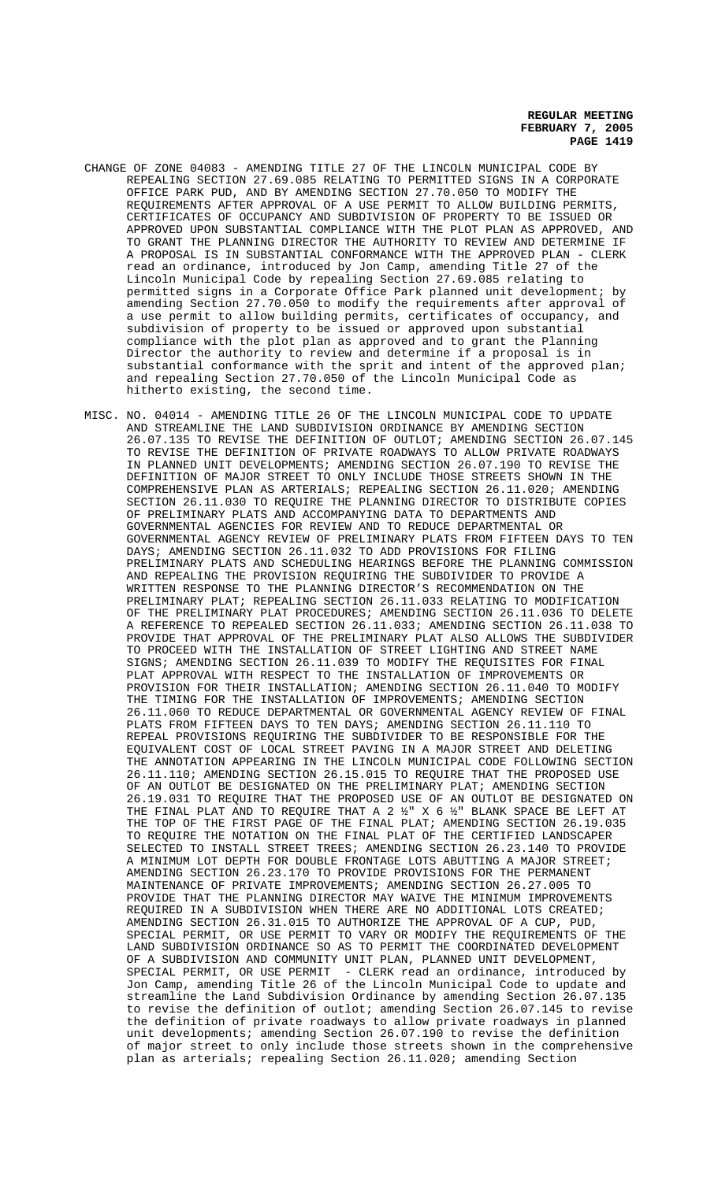- CHANGE OF ZONE 04083 AMENDING TITLE 27 OF THE LINCOLN MUNICIPAL CODE BY REPEALING SECTION 27.69.085 RELATING TO PERMITTED SIGNS IN A CORPORATE OFFICE PARK PUD, AND BY AMENDING SECTION 27.70.050 TO MODIFY THE REQUIREMENTS AFTER APPROVAL OF A USE PERMIT TO ALLOW BUILDING PERMITS, CERTIFICATES OF OCCUPANCY AND SUBDIVISION OF PROPERTY TO BE ISSUED OR APPROVED UPON SUBSTANTIAL COMPLIANCE WITH THE PLOT PLAN AS APPROVED, AND TO GRANT THE PLANNING DIRECTOR THE AUTHORITY TO REVIEW AND DETERMINE IF A PROPOSAL IS IN SUBSTANTIAL CONFORMANCE WITH THE APPROVED PLAN - CLERK read an ordinance, introduced by Jon Camp, amending Title 27 of the Lincoln Municipal Code by repealing Section 27.69.085 relating to permitted signs in a Corporate Office Park planned unit development; by amending Section 27.70.050 to modify the requirements after approval of a use permit to allow building permits, certificates of occupancy, and subdivision of property to be issued or approved upon substantial compliance with the plot plan as approved and to grant the Planning Director the authority to review and determine if a proposal is in substantial conformance with the sprit and intent of the approved plan; and repealing Section 27.70.050 of the Lincoln Municipal Code as hitherto existing, the second time.
- MISC. NO. 04014 AMENDING TITLE 26 OF THE LINCOLN MUNICIPAL CODE TO UPDATE AND STREAMLINE THE LAND SUBDIVISION ORDINANCE BY AMENDING SECTION 26.07.135 TO REVISE THE DEFINITION OF OUTLOT; AMENDING SECTION 26.07.145 TO REVISE THE DEFINITION OF PRIVATE ROADWAYS TO ALLOW PRIVATE ROADWAYS IN PLANNED UNIT DEVELOPMENTS; AMENDING SECTION 26.07.190 TO REVISE THE DEFINITION OF MAJOR STREET TO ONLY INCLUDE THOSE STREETS SHOWN IN THE COMPREHENSIVE PLAN AS ARTERIALS; REPEALING SECTION 26.11.020; AMENDING SECTION 26.11.030 TO REQUIRE THE PLANNING DIRECTOR TO DISTRIBUTE COPIES OF PRELIMINARY PLATS AND ACCOMPANYING DATA TO DEPARTMENTS AND GOVERNMENTAL AGENCIES FOR REVIEW AND TO REDUCE DEPARTMENTAL OR GOVERNMENTAL AGENCY REVIEW OF PRELIMINARY PLATS FROM FIFTEEN DAYS TO TEN DAYS; AMENDING SECTION 26.11.032 TO ADD PROVISIONS FOR FILING PRELIMINARY PLATS AND SCHEDULING HEARINGS BEFORE THE PLANNING COMMISSION AND REPEALING THE PROVISION REQUIRING THE SUBDIVIDER TO PROVIDE A WRITTEN RESPONSE TO THE PLANNING DIRECTOR'S RECOMMENDATION ON THE PRELIMINARY PLAT; REPEALING SECTION 26.11.033 RELATING TO MODIFICATION OF THE PRELIMINARY PLAT PROCEDURES; AMENDING SECTION 26.11.036 TO DELETE A REFERENCE TO REPEALED SECTION 26.11.033; AMENDING SECTION 26.11.038 TO PROVIDE THAT APPROVAL OF THE PRELIMINARY PLAT ALSO ALLOWS THE SUBDIVIDER TO PROCEED WITH THE INSTALLATION OF STREET LIGHTING AND STREET NAME SIGNS; AMENDING SECTION 26.11.039 TO MODIFY THE REQUISITES FOR FINAL PLAT APPROVAL WITH RESPECT TO THE INSTALLATION OF IMPROVEMENTS OR PROVISION FOR THEIR INSTALLATION; AMENDING SECTION 26.11.040 TO MODIFY THE TIMING FOR THE INSTALLATION OF IMPROVEMENTS; AMENDING SECTION 26.11.060 TO REDUCE DEPARTMENTAL OR GOVERNMENTAL AGENCY REVIEW OF FINAL PLATS FROM FIFTEEN DAYS TO TEN DAYS; AMENDING SECTION 26.11.110 TO REPEAL PROVISIONS REQUIRING THE SUBDIVIDER TO BE RESPONSIBLE FOR THE EQUIVALENT COST OF LOCAL STREET PAVING IN A MAJOR STREET AND DELETING THE ANNOTATION APPEARING IN THE LINCOLN MUNICIPAL CODE FOLLOWING SECTION 26.11.110; AMENDING SECTION 26.15.015 TO REQUIRE THAT THE PROPOSED USE OF AN OUTLOT BE DESIGNATED ON THE PRELIMINARY PLAT; AMENDING SECTION 26.19.031 TO REQUIRE THAT THE PROPOSED USE OF AN OUTLOT BE DESIGNATED ON THE FINAL PLAT AND TO REQUIRE THAT A 2 ½" X 6 ½" BLANK SPACE BE LEFT AT THE TOP OF THE FIRST PAGE OF THE FINAL PLAT; AMENDING SECTION 26.19.035 TO REQUIRE THE NOTATION ON THE FINAL PLAT OF THE CERTIFIED LANDSCAPER SELECTED TO INSTALL STREET TREES; AMENDING SECTION 26.23.140 TO PROVIDE A MINIMUM LOT DEPTH FOR DOUBLE FRONTAGE LOTS ABUTTING A MAJOR STREET; AMENDING SECTION 26.23.170 TO PROVIDE PROVISIONS FOR THE PERMANENT MAINTENANCE OF PRIVATE IMPROVEMENTS; AMENDING SECTION 26.27.005 TO PROVIDE THAT THE PLANNING DIRECTOR MAY WAIVE THE MINIMUM IMPROVEMENTS REQUIRED IN A SUBDIVISION WHEN THERE ARE NO ADDITIONAL LOTS CREATED; AMENDING SECTION 26.31.015 TO AUTHORIZE THE APPROVAL OF A CUP, PUD, SPECIAL PERMIT, OR USE PERMIT TO VARY OR MODIFY THE REQUIREMENTS OF THE LAND SUBDIVISION ORDINANCE SO AS TO PERMIT THE COORDINATED DEVELOPMENT OF A SUBDIVISION AND COMMUNITY UNIT PLAN, PLANNED UNIT DEVELOPMENT, SPECIAL PERMIT, OR USE PERMIT - CLERK read an ordinance, introduced by Jon Camp, amending Title 26 of the Lincoln Municipal Code to update and streamline the Land Subdivision Ordinance by amending Section 26.07.135 to revise the definition of outlot; amending Section 26.07.145 to revise the definition of private roadways to allow private roadways in planned unit developments; amending Section 26.07.190 to revise the definition of major street to only include those streets shown in the comprehensive plan as arterials; repealing Section 26.11.020; amending Section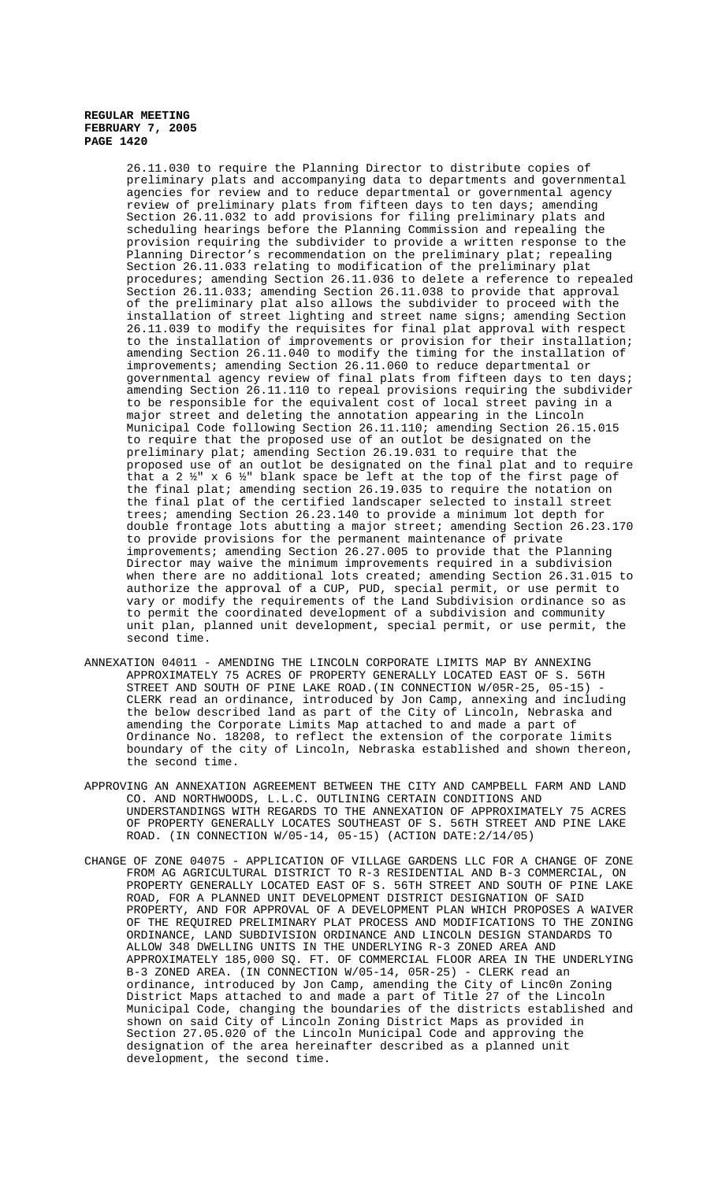26.11.030 to require the Planning Director to distribute copies of preliminary plats and accompanying data to departments and governmental agencies for review and to reduce departmental or governmental agency review of preliminary plats from fifteen days to ten days; amending Section 26.11.032 to add provisions for filing preliminary plats and scheduling hearings before the Planning Commission and repealing the provision requiring the subdivider to provide a written response to the Planning Director's recommendation on the preliminary plat; repealing Section 26.11.033 relating to modification of the preliminary plat procedures; amending Section 26.11.036 to delete a reference to repealed .<br>Section 26.11.033; amending Section 26.11.038 to provide that approval of the preliminary plat also allows the subdivider to proceed with the installation of street lighting and street name signs; amending Section 26.11.039 to modify the requisites for final plat approval with respect to the installation of improvements or provision for their installation; amending Section 26.11.040 to modify the timing for the installation of improvements; amending Section 26.11.060 to reduce departmental or governmental agency review of final plats from fifteen days to ten days; amending Section 26.11.110 to repeal provisions requiring the subdivider to be responsible for the equivalent cost of local street paving in a major street and deleting the annotation appearing in the Lincoln Municipal Code following Section 26.11.110; amending Section 26.15.015 to require that the proposed use of an outlot be designated on the preliminary plat; amending Section 26.19.031 to require that the proposed use of an outlot be designated on the final plat and to require that a 2  $\frac{1}{2}$ " x 6  $\frac{1}{2}$ " blank space be left at the top of the first page of the final plat; amending section 26.19.035 to require the notation on the final plat of the certified landscaper selected to install street trees; amending Section 26.23.140 to provide a minimum lot depth for double frontage lots abutting a major street; amending Section 26.23.170 to provide provisions for the permanent maintenance of private improvements; amending Section 26.27.005 to provide that the Planning Director may waive the minimum improvements required in a subdivision when there are no additional lots created; amending Section 26.31.015 to authorize the approval of a CUP, PUD, special permit, or use permit to vary or modify the requirements of the Land Subdivision ordinance so as to permit the coordinated development of a subdivision and community unit plan, planned unit development, special permit, or use permit, the second time.

- ANNEXATION 04011 AMENDING THE LINCOLN CORPORATE LIMITS MAP BY ANNEXING APPROXIMATELY 75 ACRES OF PROPERTY GENERALLY LOCATED EAST OF S. 56TH STREET AND SOUTH OF PINE LAKE ROAD. (IN CONNECTION W/05R-25, 05-15) CLERK read an ordinance, introduced by Jon Camp, annexing and including the below described land as part of the City of Lincoln, Nebraska and amending the Corporate Limits Map attached to and made a part of Ordinance No. 18208, to reflect the extension of the corporate limits boundary of the city of Lincoln, Nebraska established and shown thereon, the second time.
- APPROVING AN ANNEXATION AGREEMENT BETWEEN THE CITY AND CAMPBELL FARM AND LAND CO. AND NORTHWOODS, L.L.C. OUTLINING CERTAIN CONDITIONS AND UNDERSTANDINGS WITH REGARDS TO THE ANNEXATION OF APPROXIMATELY 75 ACRES OF PROPERTY GENERALLY LOCATES SOUTHEAST OF S. 56TH STREET AND PINE LAKE ROAD. (IN CONNECTION W/05-14, 05-15) (ACTION DATE:2/14/05)
- CHANGE OF ZONE 04075 APPLICATION OF VILLAGE GARDENS LLC FOR A CHANGE OF ZONE FROM AG AGRICULTURAL DISTRICT TO R-3 RESIDENTIAL AND B-3 COMMERCIAL, ON PROPERTY GENERALLY LOCATED EAST OF S. 56TH STREET AND SOUTH OF PINE LAKE ROAD, FOR A PLANNED UNIT DEVELOPMENT DISTRICT DESIGNATION OF SAID PROPERTY, AND FOR APPROVAL OF A DEVELOPMENT PLAN WHICH PROPOSES A WAIVER OF THE REQUIRED PRELIMINARY PLAT PROCESS AND MODIFICATIONS TO THE ZONING ORDINANCE, LAND SUBDIVISION ORDINANCE AND LINCOLN DESIGN STANDARDS TO ALLOW 348 DWELLING UNITS IN THE UNDERLYING R-3 ZONED AREA AND APPROXIMATELY 185,000 SQ. FT. OF COMMERCIAL FLOOR AREA IN THE UNDERLYING B-3 ZONED AREA. (IN CONNECTION W/05-14, 05R-25) - CLERK read an ordinance, introduced by Jon Camp, amending the City of Linc0n Zoning District Maps attached to and made a part of Title 27 of the Lincoln Municipal Code, changing the boundaries of the districts established and shown on said City of Lincoln Zoning District Maps as provided in Section 27.05.020 of the Lincoln Municipal Code and approving the designation of the area hereinafter described as a planned unit development, the second time.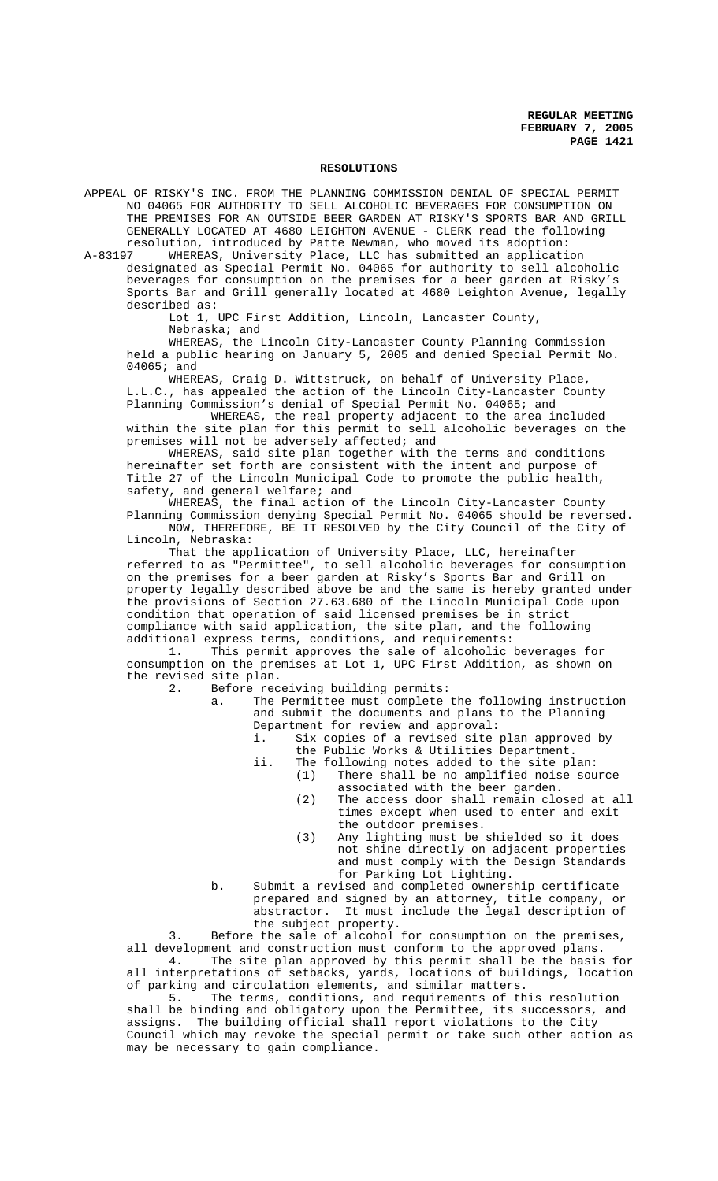#### **RESOLUTIONS**

APPEAL OF RISKY'S INC. FROM THE PLANNING COMMISSION DENIAL OF SPECIAL PERMIT NO 04065 FOR AUTHORITY TO SELL ALCOHOLIC BEVERAGES FOR CONSUMPTION ON THE PREMISES FOR AN OUTSIDE BEER GARDEN AT RISKY'S SPORTS BAR AND GRILL GENERALLY LOCATED AT 4680 LEIGHTON AVENUE - CLERK read the following

resolution, introduced by Patte Newman, who moved its adoption:<br>A-83197 WHEREAS, University Place, LLC has submitted an applicati WHEREAS, University Place, LLC has submitted an application designated as Special Permit No. 04065 for authority to sell alcoholic beverages for consumption on the premises for a beer garden at Risky's Sports Bar and Grill generally located at 4680 Leighton Avenue, legally described as:

> Lot 1, UPC First Addition, Lincoln, Lancaster County, Nebraska; and

WHEREAS, the Lincoln City-Lancaster County Planning Commission held a public hearing on January 5, 2005 and denied Special Permit No. 04065; and

WHEREAS, Craig D. Wittstruck, on behalf of University Place, L.L.C., has appealed the action of the Lincoln City-Lancaster County Planning Commission's denial of Special Permit No. 04065; and

WHEREAS, the real property adjacent to the area included within the site plan for this permit to sell alcoholic beverages on the premises will not be adversely affected; and

WHEREAS, said site plan together with the terms and conditions hereinafter set forth are consistent with the intent and purpose of Title 27 of the Lincoln Municipal Code to promote the public health, safety, and general welfare; and

WHEREAS, the final action of the Lincoln City-Lancaster County Planning Commission denying Special Permit No. 04065 should be reversed. NOW, THEREFORE, BE IT RESOLVED by the City Council of the City of

Lincoln, Nebraska:

That the application of University Place, LLC, hereinafter referred to as "Permittee", to sell alcoholic beverages for consumption on the premises for a beer garden at Risky's Sports Bar and Grill on property legally described above be and the same is hereby granted under the provisions of Section 27.63.680 of the Lincoln Municipal Code upon condition that operation of said licensed premises be in strict compliance with said application, the site plan, and the following additional express terms, conditions, and requirements:

1. This permit approves the sale of alcoholic beverages for consumption on the premises at Lot 1, UPC First Addition, as shown on the revised site plan.<br>2. Before rec

Before receiving building permits:<br>a. The Permittee must complete

The Permittee must complete the following instruction and submit the documents and plans to the Planning Department for review and approval:<br>i Six copies of a revised site

- Six copies of a revised site plan approved by the Public Works & Utilities Department.
- ii. The following notes added to the site plan: (1) There shall be no amplified noise source associated with the beer garden.
	- (2) The access door shall remain closed at all times except when used to enter and exit the outdoor premises.
	- (3) Any lighting must be shielded so it does not shine directly on adjacent properties and must comply with the Design Standards for Parking Lot Lighting.
- b. Submit a revised and completed ownership certificate prepared and signed by an attorney, title company, or abstractor. It must include the legal description of the subject property.

3. Before the sale of alcohol for consumption on the premises, all development and construction must conform to the approved plans.<br>4. The site plan approved by this permit shall be the basis The site plan approved by this permit shall be the basis for

all interpretations of setbacks, yards, locations of buildings, location of parking and circulation elements, and similar matters.<br>5. The terms, conditions, and requirements of the

The terms, conditions, and requirements of this resolution shall be binding and obligatory upon the Permittee, its successors, and assigns. The building official shall report violations to the City Council which may revoke the special permit or take such other action as may be necessary to gain compliance.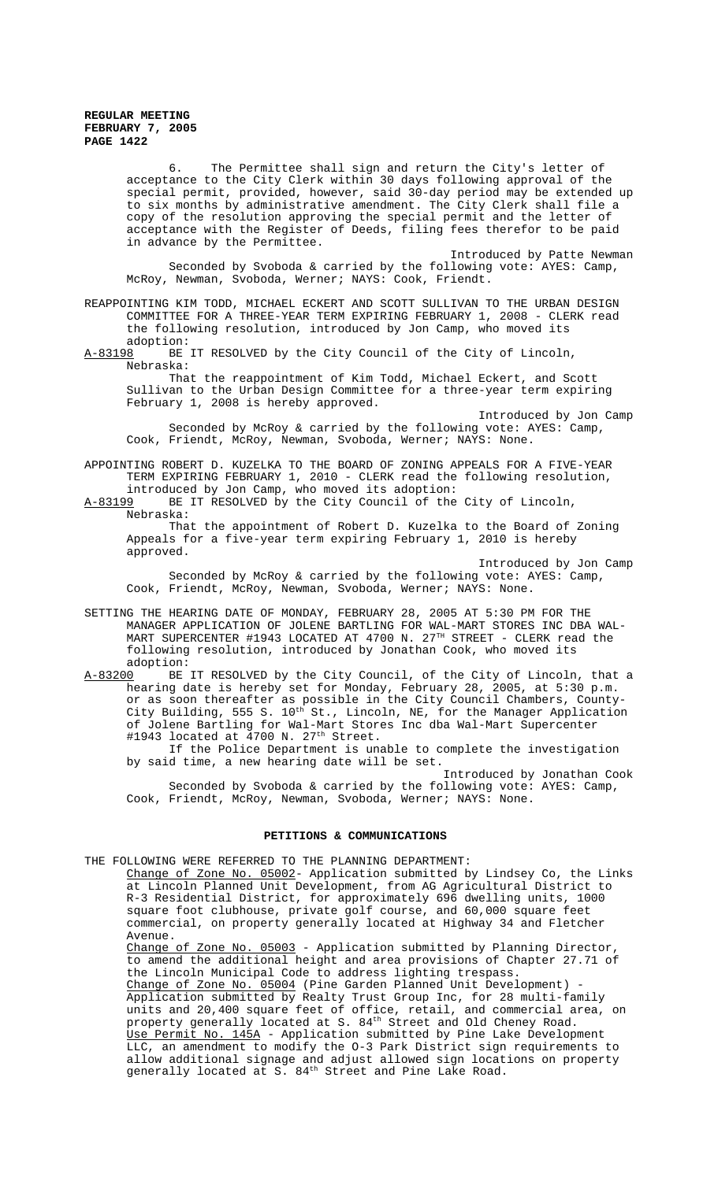6. The Permittee shall sign and return the City's letter of acceptance to the City Clerk within 30 days following approval of the special permit, provided, however, said 30-day period may be extended up to six months by administrative amendment. The City Clerk shall file a copy of the resolution approving the special permit and the letter of acceptance with the Register of Deeds, filing fees therefor to be paid in advance by the Permittee.

Introduced by Patte Newman Seconded by Svoboda & carried by the following vote: AYES: Camp, McRoy, Newman, Svoboda, Werner; NAYS: Cook, Friendt.

REAPPOINTING KIM TODD, MICHAEL ECKERT AND SCOTT SULLIVAN TO THE URBAN DESIGN COMMITTEE FOR A THREE-YEAR TERM EXPIRING FEBRUARY 1, 2008 - CLERK read the following resolution, introduced by Jon Camp, who moved its adoption:

A-83198 BE IT RESOLVED by the City Council of the City of Lincoln, Nebraska:

That the reappointment of Kim Todd, Michael Eckert, and Scott Sullivan to the Urban Design Committee for a three-year term expiring February 1, 2008 is hereby approved.

Introduced by Jon Camp Seconded by McRoy & carried by the following vote: AYES: Camp, Cook, Friendt, McRoy, Newman, Svoboda, Werner; NAYS: None.

APPOINTING ROBERT D. KUZELKA TO THE BOARD OF ZONING APPEALS FOR A FIVE-YEAR TERM EXPIRING FEBRUARY 1, 2010 - CLERK read the following resolution, introduced by Jon Camp, who moved its adoption:

A-83199 BE IT RESOLVED by the City Council of the City of Lincoln, Nebraska:

That the appointment of Robert D. Kuzelka to the Board of Zoning Appeals for a five-year term expiring February 1, 2010 is hereby approved.

Introduced by Jon Camp Seconded by McRoy & carried by the following vote: AYES: Camp, Cook, Friendt, McRoy, Newman, Svoboda, Werner; NAYS: None.

SETTING THE HEARING DATE OF MONDAY, FEBRUARY 28, 2005 AT 5:30 PM FOR THE MANAGER APPLICATION OF JOLENE BARTLING FOR WAL-MART STORES INC DBA WAL-MART SUPERCENTER #1943 LOCATED AT 4700 N. 27<sup>TH</sup> STREET - CLERK read the following resolution, introduced by Jonathan Cook, who moved its adoption:

A-83200 BE IT RESOLVED by the City Council, of the City of Lincoln, that a hearing date is hereby set for Monday, February 28, 2005, at 5:30 p.m. or as soon thereafter as possible in the City Council Chambers, County-City Building, 555 S.  $10^{\text{th}}$  St., Lincoln, NE, for the Manager Application of Jolene Bartling for Wal-Mart Stores Inc dba Wal-Mart Supercenter #1943 located at 4700 N. 27<sup>th</sup> Street.

If the Police Department is unable to complete the investigation by said time, a new hearing date will be set.

Introduced by Jonathan Cook Seconded by Svoboda & carried by the following vote: AYES: Camp, Cook, Friendt, McRoy, Newman, Svoboda, Werner; NAYS: None.

#### **PETITIONS & COMMUNICATIONS**

THE FOLLOWING WERE REFERRED TO THE PLANNING DEPARTMENT:

Change of Zone No. 05002- Application submitted by Lindsey Co, the Links at Lincoln Planned Unit Development, from AG Agricultural District to R-3 Residential District, for approximately 696 dwelling units, 1000 square foot clubhouse, private golf course, and 60,000 square feet commercial, on property generally located at Highway 34 and Fletcher Avenue.

Change of Zone No. 05003 - Application submitted by Planning Director, to amend the additional height and area provisions of Chapter 27.71 of the Lincoln Municipal Code to address lighting trespass. Change of Zone No. 05004 (Pine Garden Planned Unit Development) -Application submitted by Realty Trust Group Inc, for 28 multi-family units and 20,400 square feet of office, retail, and commercial area, on property generally located at S.  $84^{\text{th}}$  Street and Old Cheney Road. Use Permit No. 145A - Application submitted by Pine Lake Development LLC, an amendment to modify the O-3 Park District sign requirements to allow additional signage and adjust allowed sign locations on property generally located at S. 84<sup>th</sup> Street and Pine Lake Road.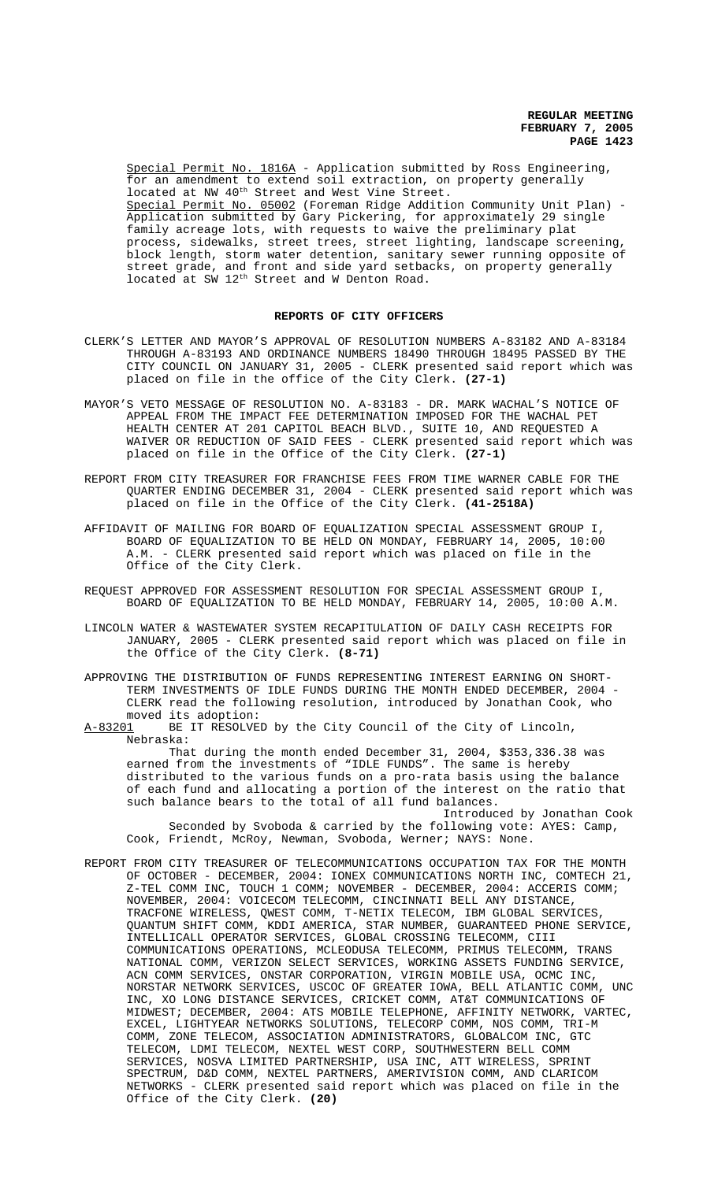Special Permit No. 1816A - Application submitted by Ross Engineering, for an amendment to extend soil extraction, on property generally located at NW 40<sup>th</sup> Street and West Vine Street. Special Permit No. 05002 (Foreman Ridge Addition Community Unit Plan) -Application submitted by Gary Pickering, for approximately 29 single family acreage lots, with requests to waive the preliminary plat process, sidewalks, street trees, street lighting, landscape screening, block length, storm water detention, sanitary sewer running opposite of street grade, and front and side yard setbacks, on property generally located at SW 12<sup>th</sup> Street and W Denton Road.

#### **REPORTS OF CITY OFFICERS**

- CLERK'S LETTER AND MAYOR'S APPROVAL OF RESOLUTION NUMBERS A-83182 AND A-83184 THROUGH A-83193 AND ORDINANCE NUMBERS 18490 THROUGH 18495 PASSED BY THE CITY COUNCIL ON JANUARY 31, 2005 - CLERK presented said report which was placed on file in the office of the City Clerk. **(27-1)**
- MAYOR'S VETO MESSAGE OF RESOLUTION NO. A-83183 DR. MARK WACHAL'S NOTICE OF APPEAL FROM THE IMPACT FEE DETERMINATION IMPOSED FOR THE WACHAL PET HEALTH CENTER AT 201 CAPITOL BEACH BLVD., SUITE 10, AND REQUESTED A WAIVER OR REDUCTION OF SAID FEES - CLERK presented said report which was placed on file in the Office of the City Clerk. **(27-1)**
- REPORT FROM CITY TREASURER FOR FRANCHISE FEES FROM TIME WARNER CABLE FOR THE QUARTER ENDING DECEMBER 31, 2004 - CLERK presented said report which was placed on file in the Office of the City Clerk. **(41-2518A)**
- AFFIDAVIT OF MAILING FOR BOARD OF EQUALIZATION SPECIAL ASSESSMENT GROUP I, BOARD OF EQUALIZATION TO BE HELD ON MONDAY, FEBRUARY 14, 2005, 10:00 A.M. - CLERK presented said report which was placed on file in the Office of the City Clerk.
- REQUEST APPROVED FOR ASSESSMENT RESOLUTION FOR SPECIAL ASSESSMENT GROUP I, BOARD OF EQUALIZATION TO BE HELD MONDAY, FEBRUARY 14, 2005, 10:00 A.M.
- LINCOLN WATER & WASTEWATER SYSTEM RECAPITULATION OF DAILY CASH RECEIPTS FOR JANUARY, 2005 - CLERK presented said report which was placed on file in the Office of the City Clerk. **(8-71)**
- APPROVING THE DISTRIBUTION OF FUNDS REPRESENTING INTEREST EARNING ON SHORT-TERM INVESTMENTS OF IDLE FUNDS DURING THE MONTH ENDED DECEMBER, 2004 - CLERK read the following resolution, introduced by Jonathan Cook, who moved its adoption:<br>A-83201 BE IT RESOLVED

BE IT RESOLVED by the City Council of the City of Lincoln, Nebraska:

That during the month ended December 31, 2004, \$353,336.38 was earned from the investments of "IDLE FUNDS". The same is hereby distributed to the various funds on a pro-rata basis using the balance of each fund and allocating a portion of the interest on the ratio that such balance bears to the total of all fund balances.

Introduced by Jonathan Cook Seconded by Svoboda & carried by the following vote: AYES: Camp, Cook, Friendt, McRoy, Newman, Svoboda, Werner; NAYS: None.

REPORT FROM CITY TREASURER OF TELECOMMUNICATIONS OCCUPATION TAX FOR THE MONTH OF OCTOBER - DECEMBER, 2004: IONEX COMMUNICATIONS NORTH INC, COMTECH 21, Z-TEL COMM INC, TOUCH 1 COMM; NOVEMBER - DECEMBER, 2004: ACCERIS COMM; NOVEMBER, 2004: VOICECOM TELECOMM, CINCINNATI BELL ANY DISTANCE, TRACFONE WIRELESS, QWEST COMM, T-NETIX TELECOM, IBM GLOBAL SERVICES, QUANTUM SHIFT COMM, KDDI AMERICA, STAR NUMBER, GUARANTEED PHONE SERVICE, INTELLICALL OPERATOR SERVICES, GLOBAL CROSSING TELECOMM, CIII COMMUNICATIONS OPERATIONS, MCLEODUSA TELECOMM, PRIMUS TELECOMM, TRANS NATIONAL COMM, VERIZON SELECT SERVICES, WORKING ASSETS FUNDING SERVICE, ACN COMM SERVICES, ONSTAR CORPORATION, VIRGIN MOBILE USA, OCMC INC, NORSTAR NETWORK SERVICES, USCOC OF GREATER IOWA, BELL ATLANTIC COMM, UNC INC, XO LONG DISTANCE SERVICES, CRICKET COMM, AT&T COMMUNICATIONS OF MIDWEST; DECEMBER, 2004: ATS MOBILE TELEPHONE, AFFINITY NETWORK, VARTEC, EXCEL, LIGHTYEAR NETWORKS SOLUTIONS, TELECORP COMM, NOS COMM, TRI-M COMM, ZONE TELECOM, ASSOCIATION ADMINISTRATORS, GLOBALCOM INC, GTC TELECOM, LDMI TELECOM, NEXTEL WEST CORP, SOUTHWESTERN BELL COMM SERVICES, NOSVA LIMITED PARTNERSHIP, USA INC, ATT WIRELESS, SPRINT SPECTRUM, D&D COMM, NEXTEL PARTNERS, AMERIVISION COMM, AND CLARICOM NETWORKS - CLERK presented said report which was placed on file in the Office of the City Clerk. **(20)**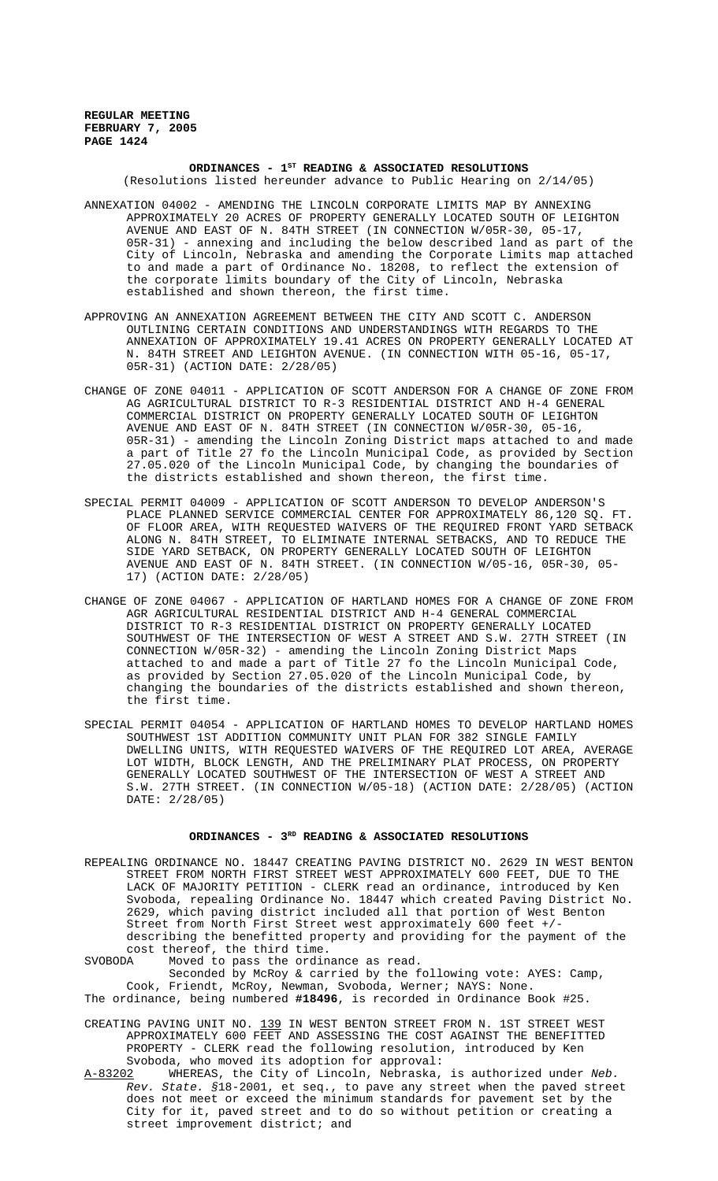# ORDINANCES - 1<sup>st</sup> READING & ASSOCIATED RESOLUTIONS

(Resolutions listed hereunder advance to Public Hearing on 2/14/05)

- ANNEXATION 04002 AMENDING THE LINCOLN CORPORATE LIMITS MAP BY ANNEXING APPROXIMATELY 20 ACRES OF PROPERTY GENERALLY LOCATED SOUTH OF LEIGHTON AVENUE AND EAST OF N. 84TH STREET (IN CONNECTION W/05R-30, 05-17, 05R-31) - annexing and including the below described land as part of the City of Lincoln, Nebraska and amending the Corporate Limits map attached to and made a part of Ordinance No. 18208, to reflect the extension of the corporate limits boundary of the City of Lincoln, Nebraska established and shown thereon, the first time.
- APPROVING AN ANNEXATION AGREEMENT BETWEEN THE CITY AND SCOTT C. ANDERSON OUTLINING CERTAIN CONDITIONS AND UNDERSTANDINGS WITH REGARDS TO THE ANNEXATION OF APPROXIMATELY 19.41 ACRES ON PROPERTY GENERALLY LOCATED AT N. 84TH STREET AND LEIGHTON AVENUE. (IN CONNECTION WITH 05-16, 05-17, 05R-31) (ACTION DATE: 2/28/05)
- CHANGE OF ZONE 04011 APPLICATION OF SCOTT ANDERSON FOR A CHANGE OF ZONE FROM AG AGRICULTURAL DISTRICT TO R-3 RESIDENTIAL DISTRICT AND H-4 GENERAL COMMERCIAL DISTRICT ON PROPERTY GENERALLY LOCATED SOUTH OF LEIGHTON AVENUE AND EAST OF N. 84TH STREET (IN CONNECTION W/05R-30, 05-16, 05R-31) - amending the Lincoln Zoning District maps attached to and made a part of Title 27 fo the Lincoln Municipal Code, as provided by Section 27.05.020 of the Lincoln Municipal Code, by changing the boundaries of the districts established and shown thereon, the first time.
- SPECIAL PERMIT 04009 APPLICATION OF SCOTT ANDERSON TO DEVELOP ANDERSON'S PLACE PLANNED SERVICE COMMERCIAL CENTER FOR APPROXIMATELY 86,120 SQ. FT. OF FLOOR AREA, WITH REQUESTED WAIVERS OF THE REQUIRED FRONT YARD SETBACK ALONG N. 84TH STREET, TO ELIMINATE INTERNAL SETBACKS, AND TO REDUCE THE SIDE YARD SETBACK, ON PROPERTY GENERALLY LOCATED SOUTH OF LEIGHTON AVENUE AND EAST OF N. 84TH STREET. (IN CONNECTION W/05-16, 05R-30, 05- 17) (ACTION DATE: 2/28/05)
- CHANGE OF ZONE 04067 APPLICATION OF HARTLAND HOMES FOR A CHANGE OF ZONE FROM AGR AGRICULTURAL RESIDENTIAL DISTRICT AND H-4 GENERAL COMMERCIAL DISTRICT TO R-3 RESIDENTIAL DISTRICT ON PROPERTY GENERALLY LOCATED SOUTHWEST OF THE INTERSECTION OF WEST A STREET AND S.W. 27TH STREET (IN CONNECTION W/05R-32) - amending the Lincoln Zoning District Maps attached to and made a part of Title 27 fo the Lincoln Municipal Code, as provided by Section 27.05.020 of the Lincoln Municipal Code, by changing the boundaries of the districts established and shown thereon, the first time.
- SPECIAL PERMIT 04054 APPLICATION OF HARTLAND HOMES TO DEVELOP HARTLAND HOMES SOUTHWEST 1ST ADDITION COMMUNITY UNIT PLAN FOR 382 SINGLE FAMILY DWELLING UNITS, WITH REQUESTED WAIVERS OF THE REQUIRED LOT AREA, AVERAGE LOT WIDTH, BLOCK LENGTH, AND THE PRELIMINARY PLAT PROCESS, ON PROPERTY GENERALLY LOCATED SOUTHWEST OF THE INTERSECTION OF WEST A STREET AND S.W. 27TH STREET. (IN CONNECTION W/05-18) (ACTION DATE: 2/28/05) (ACTION DATE: 2/28/05)

# ORDINANCES -  $3^{RD}$  READING & ASSOCIATED RESOLUTIONS

- REPEALING ORDINANCE NO. 18447 CREATING PAVING DISTRICT NO. 2629 IN WEST BENTON STREET FROM NORTH FIRST STREET WEST APPROXIMATELY 600 FEET, DUE TO THE LACK OF MAJORITY PETITION - CLERK read an ordinance, introduced by Ken Svoboda, repealing Ordinance No. 18447 which created Paving District No. 2629, which paving district included all that portion of West Benton Street from North First Street west approximately 600 feet +/ describing the benefitted property and providing for the payment of the cost thereof, the third time.<br>SVOBODA Moved to pass the ordin
- Moved to pass the ordinance as read. Seconded by McRoy & carried by the following vote: AYES: Camp, Cook, Friendt, McRoy, Newman, Svoboda, Werner; NAYS: None.
- The ordinance, being numbered **#18496**, is recorded in Ordinance Book #25.
- CREATING PAVING UNIT NO. 139 IN WEST BENTON STREET FROM N. 1ST STREET WEST APPROXIMATELY 600 FEET AND ASSESSING THE COST AGAINST THE BENEFITTED PROPERTY - CLERK read the following resolution, introduced by Ken Svoboda, who moved its adoption for approval:
- A-83202 WHEREAS, the City of Lincoln, Nebraska, is authorized under Neb. Rev. State. §18-2001, et seq., to pave any street when the paved street does not meet or exceed the minimum standards for pavement set by the City for it, paved street and to do so without petition or creating a street improvement district; and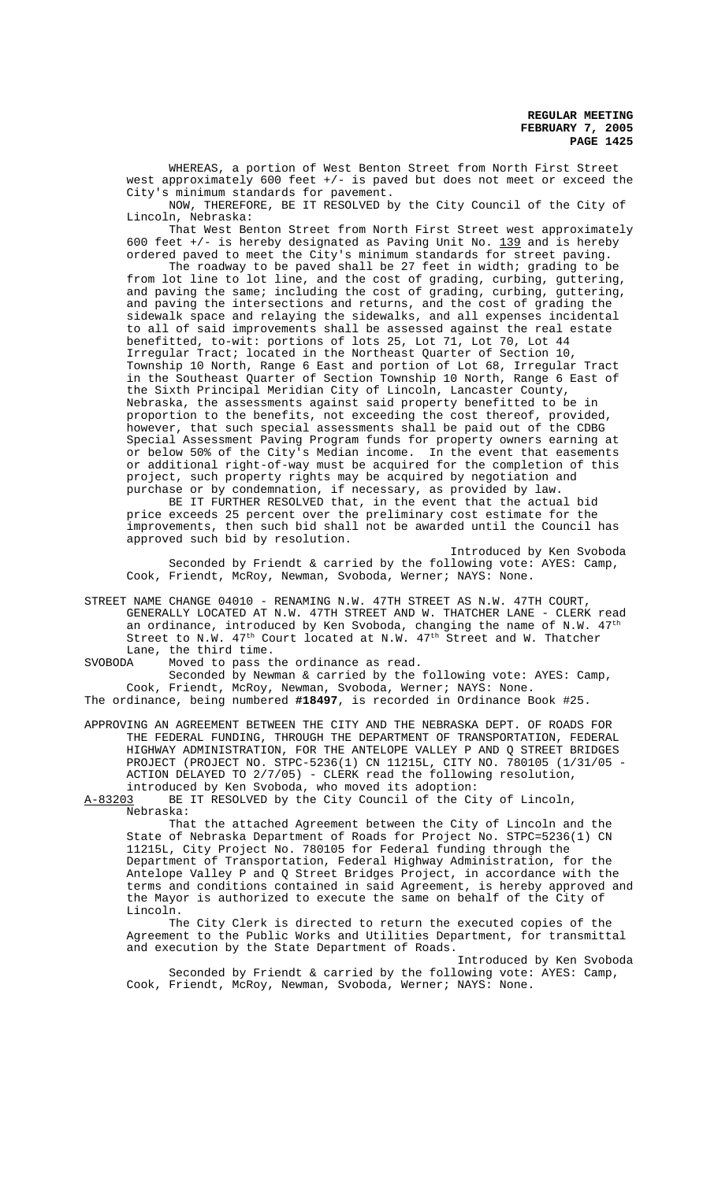WHEREAS, a portion of West Benton Street from North First Street west approximately 600 feet +/- is paved but does not meet or exceed the City's minimum standards for pavement.

NOW, THEREFORE, BE IT RESOLVED by the City Council of the City of Lincoln, Nebraska:

That West Benton Street from North First Street west approximately 600 feet  $+/-$  is hereby designated as Paving Unit No. 139 and is hereby ordered paved to meet the City's minimum standards for street paving.

The roadway to be paved shall be 27 feet in width; grading to be from lot line to lot line, and the cost of grading, curbing, guttering, and paving the same; including the cost of grading, curbing, guttering, and paving the intersections and returns, and the cost of grading the sidewalk space and relaying the sidewalks, and all expenses incidental to all of said improvements shall be assessed against the real estate benefitted, to-wit: portions of lots 25, Lot 71, Lot 70, Lot 44 Irregular Tract; located in the Northeast Quarter of Section 10, Township 10 North, Range 6 East and portion of Lot 68, Irregular Tract in the Southeast Quarter of Section Township 10 North, Range 6 East of the Sixth Principal Meridian City of Lincoln, Lancaster County, Nebraska, the assessments against said property benefitted to be in proportion to the benefits, not exceeding the cost thereof, provided, however, that such special assessments shall be paid out of the CDBG Special Assessment Paving Program funds for property owners earning at or below 50% of the City's Median income. In the event that easements or additional right-of-way must be acquired for the completion of this project, such property rights may be acquired by negotiation and purchase or by condemnation, if necessary, as provided by law.

BE IT FURTHER RESOLVED that, in the event that the actual bid price exceeds 25 percent over the preliminary cost estimate for the improvements, then such bid shall not be awarded until the Council has approved such bid by resolution.

Introduced by Ken Svoboda Seconded by Friendt & carried by the following vote: AYES: Camp, Cook, Friendt, McRoy, Newman, Svoboda, Werner; NAYS: None.

STREET NAME CHANGE 04010 - RENAMING N.W. 47TH STREET AS N.W. 47TH COURT, GENERALLY LOCATED AT N.W. 47TH STREET AND W. THATCHER LANE - CLERK read an ordinance, introduced by Ken Svoboda, changing the name of N.W.  $47^{\text{th}}$ Street to N.W.  $47^{\text{th}}$  Court located at N.W.  $47^{\text{th}}$  Street and W. Thatcher Lane, the third time.

SVOBODA Moved to pass the ordinance as read.

Seconded by Newman & carried by the following vote: AYES: Camp, Cook, Friendt, McRoy, Newman, Svoboda, Werner; NAYS: None. The ordinance, being numbered **#18497**, is recorded in Ordinance Book #25.

APPROVING AN AGREEMENT BETWEEN THE CITY AND THE NEBRASKA DEPT. OF ROADS FOR THE FEDERAL FUNDING, THROUGH THE DEPARTMENT OF TRANSPORTATION, FEDERAL HIGHWAY ADMINISTRATION, FOR THE ANTELOPE VALLEY P AND Q STREET BRIDGES PROJECT (PROJECT NO. STPC-5236(1) CN 11215L, CITY NO. 780105 (1/31/05 - ACTION DELAYED TO 2/7/05) - CLERK read the following resolution, introduced by Ken Svoboda, who moved its adoption:

A-83203 BE IT RESOLVED by the City Council of the City of Lincoln, Nebraska:

That the attached Agreement between the City of Lincoln and the State of Nebraska Department of Roads for Project No. STPC=5236(1) CN 11215L, City Project No. 780105 for Federal funding through the Department of Transportation, Federal Highway Administration, for the Antelope Valley P and Q Street Bridges Project, in accordance with the terms and conditions contained in said Agreement, is hereby approved and the Mayor is authorized to execute the same on behalf of the City of Lincoln.

The City Clerk is directed to return the executed copies of the Agreement to the Public Works and Utilities Department, for transmittal and execution by the State Department of Roads.

Introduced by Ken Svoboda Seconded by Friendt & carried by the following vote: AYES: Camp, Cook, Friendt, McRoy, Newman, Svoboda, Werner; NAYS: None.